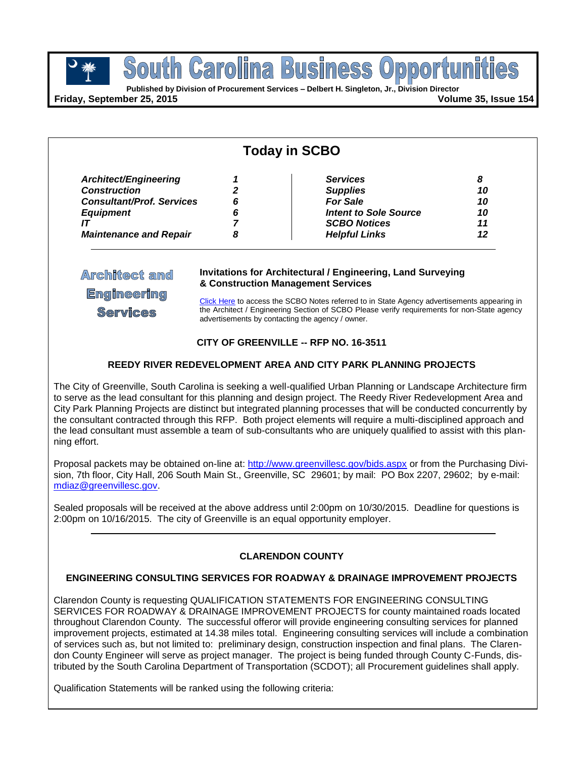**Business** South Carolina

pport **Published by Division of Procurement Services – Delbert H. Singleton, Jr., Division Director**

**Friday, September 25, 2015 Volume 35, Issue 154**

| <b>Today in SCBO</b>             |   |                              |    |  |  |
|----------------------------------|---|------------------------------|----|--|--|
| Architect/Engineering            |   | <b>Services</b>              | 8  |  |  |
| <b>Construction</b>              |   | <b>Supplies</b>              | 10 |  |  |
| <b>Consultant/Prof. Services</b> | 6 | <b>For Sale</b>              | 10 |  |  |
| <b>Equipment</b>                 | 6 | <b>Intent to Sole Source</b> | 10 |  |  |
|                                  |   | <b>SCBO Notices</b>          |    |  |  |
| <b>Maintenance and Repair</b>    | 8 | <b>Helpful Links</b>         | 12 |  |  |

**Architect** and **Engineering Services** 

#### **Invitations for Architectural / Engineering, Land Surveying & Construction Management Services**

[Click Here](http://www.mmo.sc.gov/PS/general/scbo/SCBO_Notes_060512.pdf) to access the SCBO Notes referred to in State Agency advertisements appearing in the Architect / Engineering Section of SCBO Please verify requirements for non-State agency advertisements by contacting the agency / owner.

### **CITY OF GREENVILLE -- RFP NO. 16-3511**

### **REEDY RIVER REDEVELOPMENT AREA AND CITY PARK PLANNING PROJECTS**

The City of Greenville, South Carolina is seeking a well-qualified Urban Planning or Landscape Architecture firm to serve as the lead consultant for this planning and design project. The Reedy River Redevelopment Area and City Park Planning Projects are distinct but integrated planning processes that will be conducted concurrently by the consultant contracted through this RFP. Both project elements will require a multi-disciplined approach and the lead consultant must assemble a team of sub-consultants who are uniquely qualified to assist with this planning effort.

Proposal packets may be obtained on-line at:<http://www.greenvillesc.gov/bids.aspx> or from the Purchasing Division, 7th floor, City Hall, 206 South Main St., Greenville, SC 29601; by mail: PO Box 2207, 29602; by e-mail: [mdiaz@greenvillesc.gov.](mailto:mdiaz@greenvillesc.gov)

Sealed proposals will be received at the above address until 2:00pm on 10/30/2015. Deadline for questions is 2:00pm on 10/16/2015. The city of Greenville is an equal opportunity employer.

### **CLARENDON COUNTY**

### **ENGINEERING CONSULTING SERVICES FOR ROADWAY & DRAINAGE IMPROVEMENT PROJECTS**

Clarendon County is requesting QUALIFICATION STATEMENTS FOR ENGINEERING CONSULTING SERVICES FOR ROADWAY & DRAINAGE IMPROVEMENT PROJECTS for county maintained roads located throughout Clarendon County. The successful offeror will provide engineering consulting services for planned improvement projects, estimated at 14.38 miles total. Engineering consulting services will include a combination of services such as, but not limited to: preliminary design, construction inspection and final plans. The Clarendon County Engineer will serve as project manager. The project is being funded through County C-Funds, distributed by the South Carolina Department of Transportation (SCDOT); all Procurement guidelines shall apply.

Qualification Statements will be ranked using the following criteria: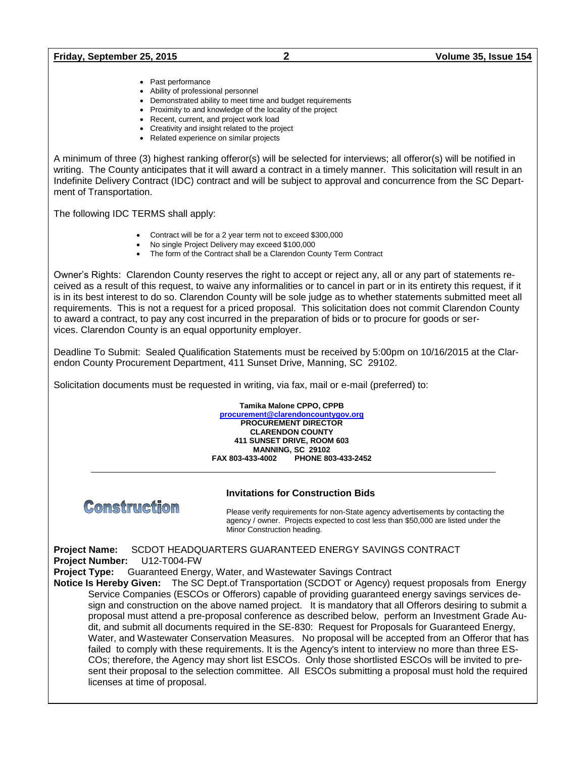- Past performance
- Ability of professional personnel
- Demonstrated ability to meet time and budget requirements
- Proximity to and knowledge of the locality of the project
- Recent, current, and project work load
- Creativity and insight related to the project
- Related experience on similar projects

A minimum of three (3) highest ranking offeror(s) will be selected for interviews; all offeror(s) will be notified in writing. The County anticipates that it will award a contract in a timely manner. This solicitation will result in an Indefinite Delivery Contract (IDC) contract and will be subject to approval and concurrence from the SC Department of Transportation.

The following IDC TERMS shall apply:

- Contract will be for a 2 year term not to exceed \$300,000
- No single Project Delivery may exceed \$100,000
- The form of the Contract shall be a Clarendon County Term Contract

Owner's Rights: Clarendon County reserves the right to accept or reject any, all or any part of statements received as a result of this request, to waive any informalities or to cancel in part or in its entirety this request, if it is in its best interest to do so. Clarendon County will be sole judge as to whether statements submitted meet all requirements. This is not a request for a priced proposal. This solicitation does not commit Clarendon County to award a contract, to pay any cost incurred in the preparation of bids or to procure for goods or services. Clarendon County is an equal opportunity employer.

Deadline To Submit: Sealed Qualification Statements must be received by 5:00pm on 10/16/2015 at the Clarendon County Procurement Department, 411 Sunset Drive, Manning, SC 29102.

Solicitation documents must be requested in writing, via fax, mail or e-mail (preferred) to:

**Tamika Malone CPPO, CPPB [procurement@clarendoncountygov.org](mailto:procurement@clarendoncountygov.org) PROCUREMENT DIRECTOR CLARENDON COUNTY 411 SUNSET DRIVE, ROOM 603 MANNING, SC 29102 FAX 803-433-4002 PHONE 803-433-2452**



**Invitations for Construction Bids**

Please verify requirements for non-State agency advertisements by contacting the agency / owner. Projects expected to cost less than \$50,000 are listed under the Minor Construction heading.

**Project Name:** SCDOT HEADQUARTERS GUARANTEED ENERGY SAVINGS CONTRACT **Project Number:** U12-T004-FW **Project Type:** Guaranteed Energy, Water, and Wastewater Savings Contract **Notice Is Hereby Given:** The SC Dept.of Transportation (SCDOT or Agency) request proposals from Energy Service Companies (ESCOs or Offerors) capable of providing guaranteed energy savings services design and construction on the above named project. It is mandatory that all Offerors desiring to submit a proposal must attend a pre-proposal conference as described below, perform an Investment Grade Audit, and submit all documents required in the SE-830: Request for Proposals for Guaranteed Energy, Water, and Wastewater Conservation Measures. No proposal will be accepted from an Offeror that has failed to comply with these requirements. It is the Agency's intent to interview no more than three ES-COs; therefore, the Agency may short list ESCOs. Only those shortlisted ESCOs will be invited to present their proposal to the selection committee. All ESCOs submitting a proposal must hold the required licenses at time of proposal.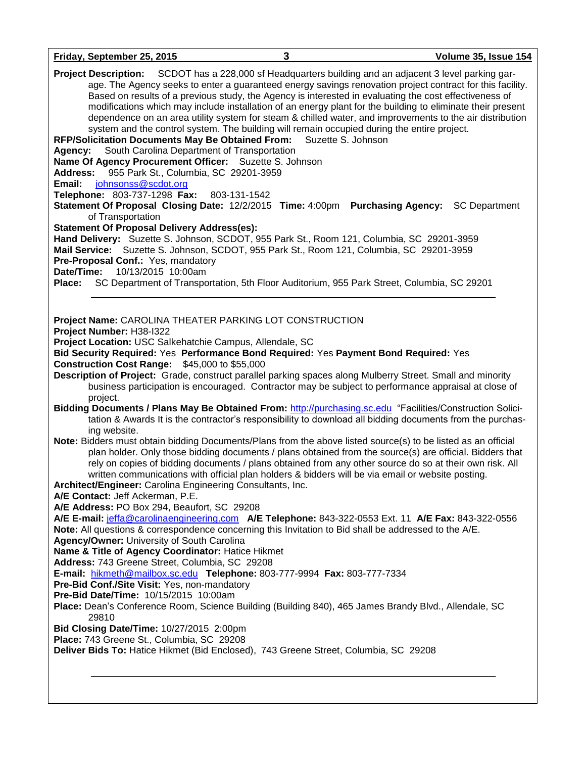| Friday, September 25, 2015 | Volume 35, Issue 154 |  |
|----------------------------|----------------------|--|
|                            |                      |  |

**Project Description:** SCDOT has a 228,000 sf Headquarters building and an adjacent 3 level parking garage. The Agency seeks to enter a guaranteed energy savings renovation project contract for this facility. Based on results of a previous study, the Agency is interested in evaluating the cost effectiveness of modifications which may include installation of an energy plant for the building to eliminate their present dependence on an area utility system for steam & chilled water, and improvements to the air distribution system and the control system. The building will remain occupied during the entire project.

**RFP/Solicitation Documents May Be Obtained From:** Suzette S. Johnson

**Agency:** South Carolina Department of Transportation

**Name Of Agency Procurement Officer:** Suzette S. Johnson

**Address:** 955 Park St., Columbia, SC 29201-3959

**Email:** [johnsonss@scdot.org](mailto:johnsonss@scdot.org)

**Telephone:** 803-737-1298 **Fax:** 803-131-1542

**Statement Of Proposal Closing Date:** 12/2/2015 **Time:** 4:00pm **Purchasing Agency:** SC Department of Transportation

**Statement Of Proposal Delivery Address(es):**

**Hand Delivery:** Suzette S. Johnson, SCDOT, 955 Park St., Room 121, Columbia, SC 29201-3959 **Mail Service:** Suzette S. Johnson, SCDOT, 955 Park St., Room 121, Columbia, SC 29201-3959

**Pre-Proposal Conf.:** Yes, mandatory

**Date/Time:** 10/13/2015 10:00am

**Place:** SC Department of Transportation, 5th Floor Auditorium, 955 Park Street, Columbia, SC 29201

**Project Name:** CAROLINA THEATER PARKING LOT CONSTRUCTION **Project Number:** H38-I322 **Project Location:** USC Salkehatchie Campus, Allendale, SC **Bid Security Required:** Yes **Performance Bond Required:** Yes **Payment Bond Required:** Yes **Construction Cost Range:** \$45,000 to \$55,000 **Description of Project:** Grade, construct parallel parking spaces along Mulberry Street. Small and minority business participation is encouraged. Contractor may be subject to performance appraisal at close of project. **Bidding Documents / Plans May Be Obtained From:** [http://purchasing.sc.edu](http://purchasing.sc.edu/) "Facilities/Construction Solicitation & Awards It is the contractor's responsibility to download all bidding documents from the purchasing website. **Note:** Bidders must obtain bidding Documents/Plans from the above listed source(s) to be listed as an official plan holder. Only those bidding documents / plans obtained from the source(s) are official. Bidders that rely on copies of bidding documents / plans obtained from any other source do so at their own risk. All written communications with official plan holders & bidders will be via email or website posting. **Architect/Engineer:** Carolina Engineering Consultants, Inc. **A/E Contact:** Jeff Ackerman, P.E. **A/E Address:** PO Box 294, Beaufort, SC 29208 **A/E E-mail:** [jeffa@carolinaengineering.com](mailto:jeffa@carolinaengineering.com) **A/E Telephone:** 843-322-0553 Ext. 11 **A/E Fax:** 843-322-0556 **Note:** All questions & correspondence concerning this Invitation to Bid shall be addressed to the A/E. **Agency/Owner:** University of South Carolina **Name & Title of Agency Coordinator:** Hatice Hikmet **Address:** 743 Greene Street, Columbia, SC 29208 **E-mail:** [hikmeth@mailbox.sc.edu](mailto:hikmeth@mailbox.sc.edu) **Telephone:** 803-777-9994 **Fax:** 803-777-7334 **Pre-Bid Conf./Site Visit:** Yes, non-mandatory **Pre-Bid Date/Time:** 10/15/2015 10:00am **Place:** Dean's Conference Room, Science Building (Building 840), 465 James Brandy Blvd., Allendale, SC 29810 **Bid Closing Date/Time:** 10/27/2015 2:00pm **Place:** 743 Greene St., Columbia, SC 29208 **Deliver Bids To:** Hatice Hikmet (Bid Enclosed), 743 Greene Street, Columbia, SC 29208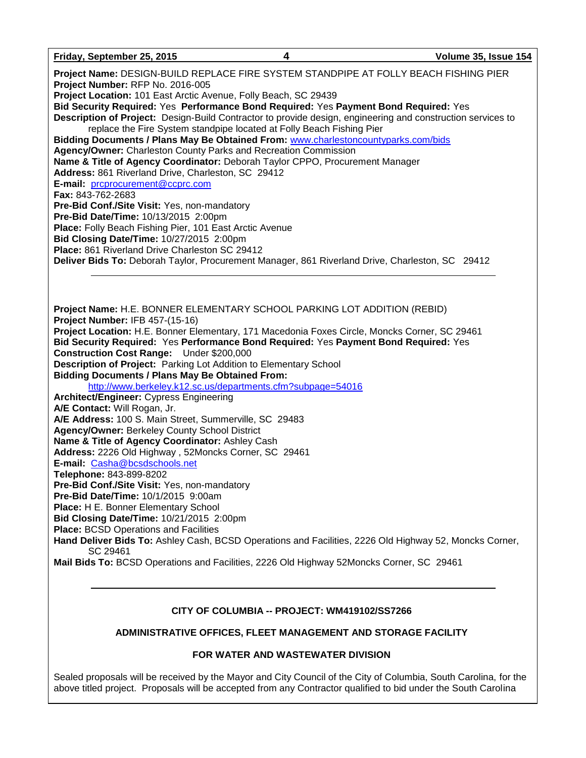| Friday, September 25, 2015 |  |
|----------------------------|--|
|----------------------------|--|

**Friday, September 25, 2015 4 Volume 35, Issue 154**

**Project Name:** DESIGN-BUILD REPLACE FIRE SYSTEM STANDPIPE AT FOLLY BEACH FISHING PIER **Project Number:** RFP No. 2016-005 **Project Location:** 101 East Arctic Avenue, Folly Beach, SC 29439 **Bid Security Required:** Yes **Performance Bond Required:** Yes **Payment Bond Required:** Yes **Description of Project:** Design-Build Contractor to provide design, engineering and construction services to replace the Fire System standpipe located at Folly Beach Fishing Pier **Bidding Documents / Plans May Be Obtained From:** [www.charlestoncountyparks.com/bids](http://www.charlestoncountyparks.com/bids) **Agency/Owner:** Charleston County Parks and Recreation Commission **Name & Title of Agency Coordinator:** Deborah Taylor CPPO, Procurement Manager **Address:** 861 Riverland Drive, Charleston, SC 29412 **E-mail:** [prcprocurement@ccprc.com](mailto:prcprocurement@ccprc.com) **Fax:** 843-762-2683 **Pre-Bid Conf./Site Visit:** Yes, non-mandatory **Pre-Bid Date/Time:** 10/13/2015 2:00pm **Place:** Folly Beach Fishing Pier, 101 East Arctic Avenue **Bid Closing Date/Time:** 10/27/2015 2:00pm **Place:** 861 Riverland Drive Charleston SC 29412 **Deliver Bids To:** Deborah Taylor, Procurement Manager, 861 Riverland Drive, Charleston, SC 29412 **Project Name:** H.E. BONNER ELEMENTARY SCHOOL PARKING LOT ADDITION (REBID) **Project Number:** IFB 457-(15-16) **Project Location:** H.E. Bonner Elementary, 171 Macedonia Foxes Circle, Moncks Corner, SC 29461 **Bid Security Required:** Yes **Performance Bond Required:** Yes **Payment Bond Required:** Yes **Construction Cost Range:** Under \$200,000 **Description of Project:** Parking Lot Addition to Elementary School **Bidding Documents / Plans May Be Obtained From:** <http://www.berkeley.k12.sc.us/departments.cfm?subpage=54016>

**Architect/Engineer:** Cypress Engineering

**A/E Contact:** Will Rogan, Jr.

**A/E Address:** 100 S. Main Street, Summerville, SC 29483

**Agency/Owner:** Berkeley County School District

**Name & Title of Agency Coordinator:** Ashley Cash

**Address:** 2226 Old Highway , 52Moncks Corner, SC 29461

**E-mail:** [Casha@bcsdschools.net](mailto:Casha@bcsdschools.net)

**Telephone:** 843-899-8202

**Pre-Bid Conf./Site Visit:** Yes, non-mandatory

**Pre-Bid Date/Time:** 10/1/2015 9:00am

**Place:** H E. Bonner Elementary School

**Bid Closing Date/Time:** 10/21/2015 2:00pm

**Place:** BCSD Operations and Facilities

**Hand Deliver Bids To:** Ashley Cash, BCSD Operations and Facilities, 2226 Old Highway 52, Moncks Corner, SC 29461

**Mail Bids To:** BCSD Operations and Facilities, 2226 Old Highway 52Moncks Corner, SC 29461

### **CITY OF COLUMBIA -- PROJECT: WM419102/SS7266**

### **ADMINISTRATIVE OFFICES, FLEET MANAGEMENT AND STORAGE FACILITY**

### **FOR WATER AND WASTEWATER DIVISION**

Sealed proposals will be received by the Mayor and City Council of the City of Columbia, South Carolina, for the above titled project. Proposals will be accepted from any Contractor qualified to bid under the South Carolina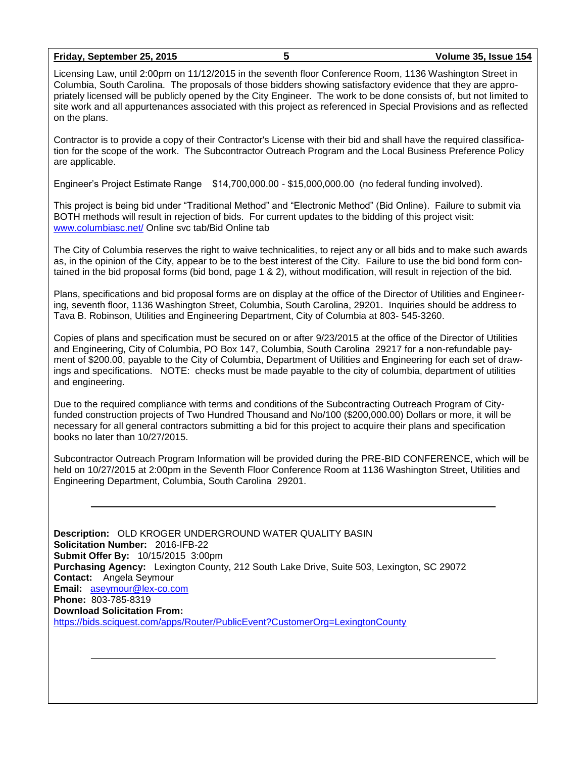| Friday, September 25, 2015 |  |
|----------------------------|--|
|----------------------------|--|

Licensing Law, until 2:00pm on 11/12/2015 in the seventh floor Conference Room, 1136 Washington Street in Columbia, South Carolina. The proposals of those bidders showing satisfactory evidence that they are appropriately licensed will be publicly opened by the City Engineer. The work to be done consists of, but not limited to site work and all appurtenances associated with this project as referenced in Special Provisions and as reflected on the plans.

Contractor is to provide a copy of their Contractor's License with their bid and shall have the required classification for the scope of the work. The Subcontractor Outreach Program and the Local Business Preference Policy are applicable.

Engineer's Project Estimate Range \$14,700,000.00 - \$15,000,000.00 (no federal funding involved).

This project is being bid under "Traditional Method" and "Electronic Method" (Bid Online). Failure to submit via BOTH methods will result in rejection of bids. For current updates to the bidding of this project visit: [www.columbiasc.net/](http://www.columbiasc.net/) Online svc tab/Bid Online tab

The City of Columbia reserves the right to waive technicalities, to reject any or all bids and to make such awards as, in the opinion of the City, appear to be to the best interest of the City. Failure to use the bid bond form contained in the bid proposal forms (bid bond, page 1 & 2), without modification, will result in rejection of the bid.

Plans, specifications and bid proposal forms are on display at the office of the Director of Utilities and Engineering, seventh floor, 1136 Washington Street, Columbia, South Carolina, 29201. Inquiries should be address to Tava B. Robinson, Utilities and Engineering Department, City of Columbia at 803- 545-3260.

Copies of plans and specification must be secured on or after 9/23/2015 at the office of the Director of Utilities and Engineering, City of Columbia, PO Box 147, Columbia, South Carolina 29217 for a non-refundable payment of \$200.00, payable to the City of Columbia, Department of Utilities and Engineering for each set of drawings and specifications. NOTE: checks must be made payable to the city of columbia, department of utilities and engineering.

Due to the required compliance with terms and conditions of the Subcontracting Outreach Program of Cityfunded construction projects of Two Hundred Thousand and No/100 (\$200,000.00) Dollars or more, it will be necessary for all general contractors submitting a bid for this project to acquire their plans and specification books no later than 10/27/2015.

Subcontractor Outreach Program Information will be provided during the PRE-BID CONFERENCE, which will be held on 10/27/2015 at 2:00pm in the Seventh Floor Conference Room at 1136 Washington Street, Utilities and Engineering Department, Columbia, South Carolina 29201.

**Description:** OLD KROGER UNDERGROUND WATER QUALITY BASIN **Solicitation Number:** 2016-IFB-22 **Submit Offer By:** 10/15/2015 3:00pm **Purchasing Agency:** Lexington County, 212 South Lake Drive, Suite 503, Lexington, SC 29072 **Contact:** Angela Seymour **Email:** [aseymour@lex-co.com](mailto:aseymour@lex-co.com) **Phone:** 803-785-8319 **Download Solicitation From:** <https://bids.sciquest.com/apps/Router/PublicEvent?CustomerOrg=LexingtonCounty>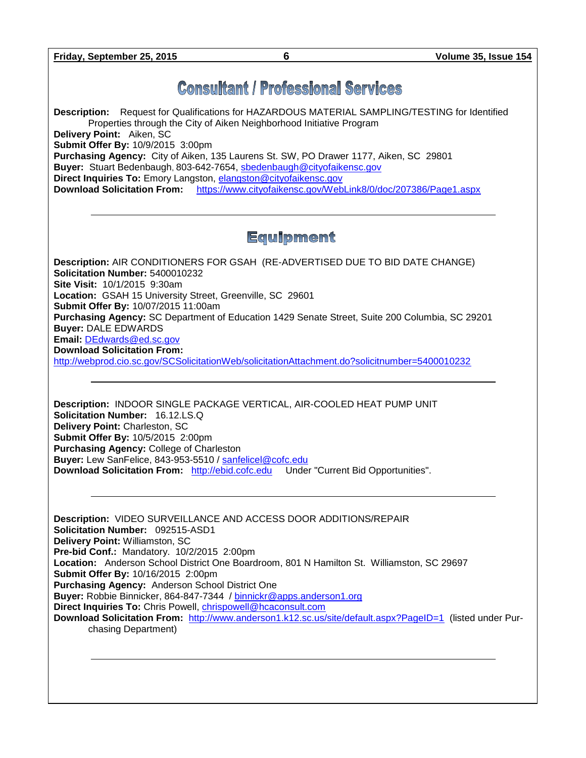**Friday, September 25, 2015 6 Volume 35, Issue 154**

# **Consultant / Professional Services**

**Description:** Request for Qualifications for HAZARDOUS MATERIAL SAMPLING/TESTING for Identified Properties through the City of Aiken Neighborhood Initiative Program

**Delivery Point:** Aiken, SC **Submit Offer By:** 10/9/2015 3:00pm

**Purchasing Agency:** City of Aiken, 135 Laurens St. SW, PO Drawer 1177, Aiken, SC 29801 **Buyer:** Stuart Bedenbaugh, 803-642-7654, [sbedenbaugh@cityofaikensc.gov](mailto:sbedenbaugh@cityofaikensc.gov) **Direct Inquiries To:** Emory Langston, **elangston@cityofaikensc.gov Download Solicitation From:** <https://www.cityofaikensc.gov/WebLink8/0/doc/207386/Page1.aspx>

# Equipment

**Description:** AIR CONDITIONERS FOR GSAH (RE-ADVERTISED DUE TO BID DATE CHANGE) **Solicitation Number:** 5400010232 **Site Visit:** 10/1/2015 9:30am **Location:** GSAH 15 University Street, Greenville, SC 29601 **Submit Offer By:** 10/07/2015 11:00am **Purchasing Agency:** SC Department of Education 1429 Senate Street, Suite 200 Columbia, SC 29201 **Buyer:** DALE EDWARDS **Email:** [DEdwards@ed.sc.gov](mailto:DEdwards@ed.sc.gov) **Download Solicitation From:**  <http://webprod.cio.sc.gov/SCSolicitationWeb/solicitationAttachment.do?solicitnumber=5400010232>

**Description:** INDOOR SINGLE PACKAGE VERTICAL, AIR-COOLED HEAT PUMP UNIT **Solicitation Number:** 16.12.LS.Q **Delivery Point:** Charleston, SC **Submit Offer By:** 10/5/2015 2:00pm **Purchasing Agency:** College of Charleston **Buyer:** Lew SanFelice, 843-953-5510 / [sanfelicel@cofc.edu](mailto:sanfelicel@cofc.edu) **Download Solicitation From:** [http://ebid.cofc.edu](http://ebid.cofc.edu/) Under "Current Bid Opportunities".

**Description:** VIDEO SURVEILLANCE AND ACCESS DOOR ADDITIONS/REPAIR **Solicitation Number:** 092515-ASD1 **Delivery Point:** Williamston, SC **Pre-bid Conf.:** Mandatory. 10/2/2015 2:00pm **Location:** Anderson School District One Boardroom, 801 N Hamilton St. Williamston, SC 29697 **Submit Offer By:** 10/16/2015 2:00pm **Purchasing Agency:** Anderson School District One **Buyer:** Robbie Binnicker, 864-847-7344 / [binnickr@apps.anderson1.org](mailto:binnickr@apps.anderson1.org) **Direct Inquiries To:** Chris Powell, [chrispowell@hcaconsult.com](mailto:chrispowell@hcaconsult.com) **Download Solicitation From:** <http://www.anderson1.k12.sc.us/site/default.aspx?PageID=1>(listed under Purchasing Department)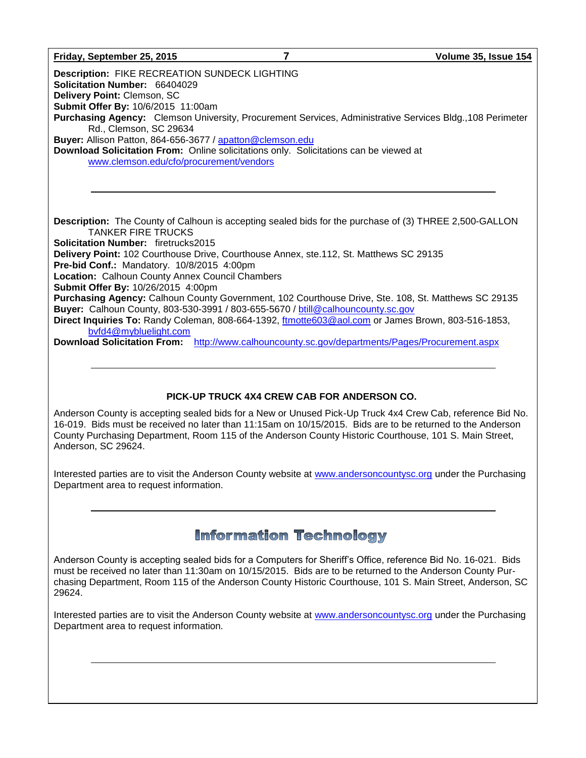### **Friday, September 25, 2015 7 Volume 35, Issue 154**

**Description:** FIKE RECREATION SUNDECK LIGHTING **Solicitation Number:** 66404029 **Delivery Point:** Clemson, SC **Submit Offer By:** 10/6/2015 11:00am **Purchasing Agency:** Clemson University, Procurement Services, Administrative Services Bldg.,108 Perimeter Rd., Clemson, SC 29634 **Buyer:** Allison Patton, 864-656-3677 / [apatton@clemson.edu](mailto:apatton@clemson.edu) **Download Solicitation From:** Online solicitations only. Solicitations can be viewed at [www.clemson.edu/cfo/procurement/vendors](http://www.clemson.edu/cfo/procurement/vendors)

**Description:** The County of Calhoun is accepting sealed bids for the purchase of (3) THREE 2,500-GALLON TANKER FIRE TRUCKS **Solicitation Number:** firetrucks2015 **Delivery Point:** 102 Courthouse Drive, Courthouse Annex, ste.112, St. Matthews SC 29135 **Pre-bid Conf.:** Mandatory. 10/8/2015 4:00pm **Location:** Calhoun County Annex Council Chambers **Submit Offer By:** 10/26/2015 4:00pm **Purchasing Agency:** Calhoun County Government, 102 Courthouse Drive, Ste. 108, St. Matthews SC 29135 **Buyer:** Calhoun County, 803-530-3991 / 803-655-5670 / [btill@calhouncounty.sc.gov](mailto:btill@calhouncounty.sc.gov) **Direct Inquiries To:** Randy Coleman, 808-664-1392, [ftmotte603@aol.com](mailto:ftmotte603@aol.com) or James Brown, 803-516-1853, [bvfd4@mybluelight.com](mailto:bvfd4@mybluelight.com)

**Download Solicitation From:** <http://www.calhouncounty.sc.gov/departments/Pages/Procurement.aspx>

### **PICK-UP TRUCK 4X4 CREW CAB FOR ANDERSON CO.**

Anderson County is accepting sealed bids for a New or Unused Pick-Up Truck 4x4 Crew Cab, reference Bid No. 16-019. Bids must be received no later than 11:15am on 10/15/2015. Bids are to be returned to the Anderson County Purchasing Department, Room 115 of the Anderson County Historic Courthouse, 101 S. Main Street, Anderson, SC 29624.

Interested parties are to visit the Anderson County website at [www.andersoncountysc.org](http://www.andersoncountysc.org/) under the Purchasing Department area to request information.

## **Information Technology**

Anderson County is accepting sealed bids for a Computers for Sheriff's Office, reference Bid No. 16-021. Bids must be received no later than 11:30am on 10/15/2015. Bids are to be returned to the Anderson County Purchasing Department, Room 115 of the Anderson County Historic Courthouse, 101 S. Main Street, Anderson, SC 29624.

Interested parties are to visit the Anderson County website at [www.andersoncountysc.org](http://www.andersoncountysc.org/) under the Purchasing Department area to request information.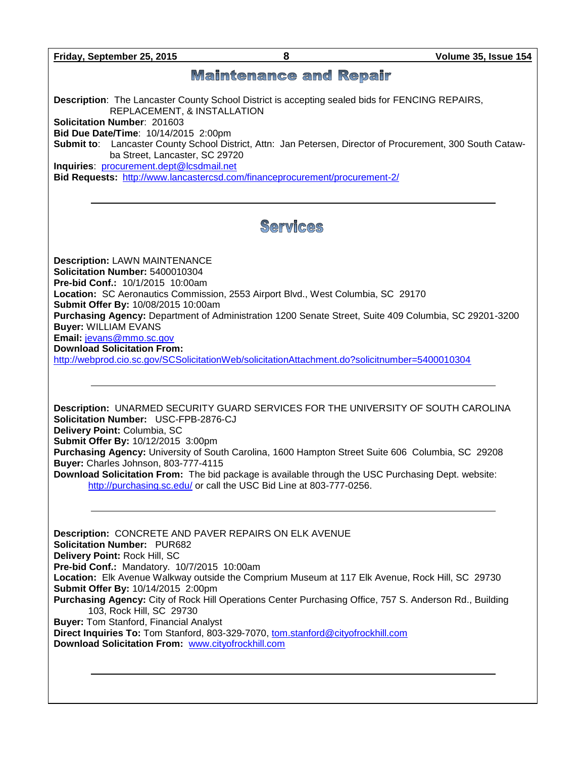**Friday, September 25, 2015 8 Volume 35, Issue 154**

### **Maintenance and Repair**

**Description**: The Lancaster County School District is accepting sealed bids for FENCING REPAIRS, REPLACEMENT, & INSTALLATION

**Solicitation Number**: 201603

**Bid Due Date/Time**: 10/14/2015 2:00pm

**Submit to**: Lancaster County School District, Attn: Jan Petersen, Director of Procurement, 300 South Catawba Street, Lancaster, SC 29720

**Inquiries**: [procurement.dept@lcsdmail.net](mailto:procurement.dept@lcsdmail.net)

**Bid Requests:** <http://www.lancastercsd.com/financeprocurement/procurement-2/>

# **Services**

**Description:** LAWN MAINTENANCE **Solicitation Number:** 5400010304 **Pre-bid Conf.:** 10/1/2015 10:00am **Location:** SC Aeronautics Commission, 2553 Airport Blvd., West Columbia, SC 29170 **Submit Offer By:** 10/08/2015 10:00am **Purchasing Agency:** Department of Administration 1200 Senate Street, Suite 409 Columbia, SC 29201-3200 **Buyer:** WILLIAM EVANS **Email:** [jevans@mmo.sc.gov](mailto:jevans@mmo.sc.gov) **Download Solicitation From:**  <http://webprod.cio.sc.gov/SCSolicitationWeb/solicitationAttachment.do?solicitnumber=5400010304>

**Description:** UNARMED SECURITY GUARD SERVICES FOR THE UNIVERSITY OF SOUTH CAROLINA **Solicitation Number:** USC-FPB-2876-CJ **Delivery Point:** Columbia, SC **Submit Offer By:** 10/12/2015 3:00pm **Purchasing Agency:** University of South Carolina, 1600 Hampton Street Suite 606 Columbia, SC 29208 **Buyer:** Charles Johnson, 803-777-4115 **Download Solicitation From:** The bid package is available through the USC Purchasing Dept. website: <http://purchasing.sc.edu/> or call the USC Bid Line at 803-777-0256.

**Description:** CONCRETE AND PAVER REPAIRS ON ELK AVENUE **Solicitation Number:** PUR682 **Delivery Point:** Rock Hill, SC **Pre-bid Conf.:** Mandatory. 10/7/2015 10:00am **Location:** Elk Avenue Walkway outside the Comprium Museum at 117 Elk Avenue, Rock Hill, SC 29730 **Submit Offer By:** 10/14/2015 2:00pm **Purchasing Agency:** City of Rock Hill Operations Center Purchasing Office, 757 S. Anderson Rd., Building 103, Rock Hill, SC 29730 **Buyer:** Tom Stanford, Financial Analyst **Direct Inquiries To:** Tom Stanford, 803-329-7070, [tom.stanford@cityofrockhill.com](mailto:tom.stanford@cityofrockhill.com) **Download Solicitation From:** [www.cityofrockhill.com](http://www.cityofrockhill.com/)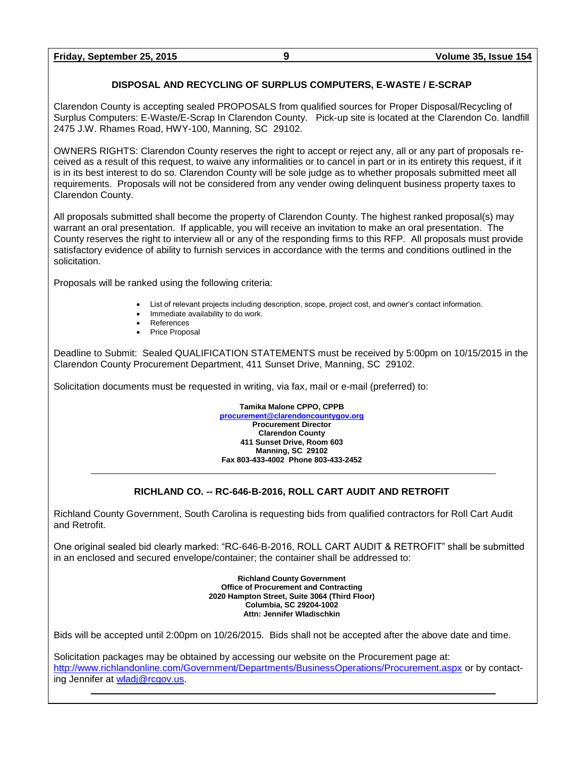**Friday, September 25, 2015 9 Volume 35, Issue 154**

### **DISPOSAL AND RECYCLING OF SURPLUS COMPUTERS, E-WASTE / E-SCRAP**

Clarendon County is accepting sealed PROPOSALS from qualified sources for Proper Disposal/Recycling of Surplus Computers: E-Waste/E-Scrap In Clarendon County. Pick-up site is located at the Clarendon Co. landfill 2475 J.W. Rhames Road, HWY-100, Manning, SC 29102.

OWNERS RIGHTS: Clarendon County reserves the right to accept or reject any, all or any part of proposals received as a result of this request, to waive any informalities or to cancel in part or in its entirety this request, if it is in its best interest to do so. Clarendon County will be sole judge as to whether proposals submitted meet all requirements. Proposals will not be considered from any vender owing delinquent business property taxes to Clarendon County.

All proposals submitted shall become the property of Clarendon County. The highest ranked proposal(s) may warrant an oral presentation. If applicable, you will receive an invitation to make an oral presentation. The County reserves the right to interview all or any of the responding firms to this RFP. All proposals must provide satisfactory evidence of ability to furnish services in accordance with the terms and conditions outlined in the solicitation.

Proposals will be ranked using the following criteria:

- List of relevant projects including description, scope, project cost, and owner's contact information.
- Immediate availability to do work.
- References
- Price Proposal

Deadline to Submit: Sealed QUALIFICATION STATEMENTS must be received by 5:00pm on 10/15/2015 in the Clarendon County Procurement Department, 411 Sunset Drive, Manning, SC 29102.

Solicitation documents must be requested in writing, via fax, mail or e-mail (preferred) to:

**Tamika Malone CPPO, CPPB [procurement@clarendoncountygov.org](mailto:procurement@clarendoncountygov.org) Procurement Director Clarendon County 411 Sunset Drive, Room 603 Manning, SC 29102 Fax 803-433-4002 Phone 803-433-2452**

### **RICHLAND CO. -- RC-646-B-2016, ROLL CART AUDIT AND RETROFIT**

Richland County Government, South Carolina is requesting bids from qualified contractors for Roll Cart Audit and Retrofit.

One original sealed bid clearly marked: "RC-646-B-2016, ROLL CART AUDIT & RETROFIT" shall be submitted in an enclosed and secured envelope/container; the container shall be addressed to:

> **Richland County Government Office of Procurement and Contracting 2020 Hampton Street, Suite 3064 (Third Floor) Columbia, SC 29204-1002 Attn: Jennifer Wladischkin**

Bids will be accepted until 2:00pm on 10/26/2015. Bids shall not be accepted after the above date and time.

Solicitation packages may be obtained by accessing our website on the Procurement page at: <http://www.richlandonline.com/Government/Departments/BusinessOperations/Procurement.aspx> or by contacting Jennifer at [wladj@rcgov.us.](mailto:wladj@rcgov.us)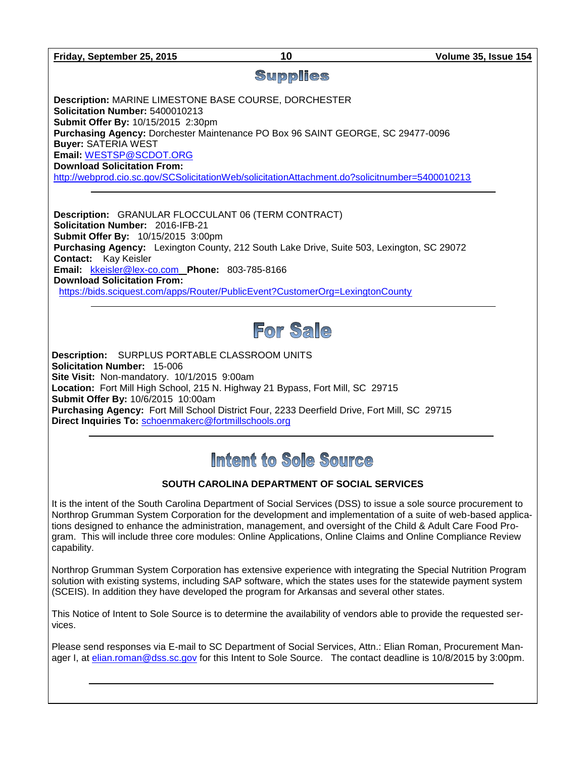| Friday, September 25, 2015                                                                                                                                                                                                                                                                                                                                                                                                         | 10                           | Volume 35, Issue 154                                                                                        |  |  |
|------------------------------------------------------------------------------------------------------------------------------------------------------------------------------------------------------------------------------------------------------------------------------------------------------------------------------------------------------------------------------------------------------------------------------------|------------------------------|-------------------------------------------------------------------------------------------------------------|--|--|
|                                                                                                                                                                                                                                                                                                                                                                                                                                    | Supplies                     |                                                                                                             |  |  |
| Description: MARINE LIMESTONE BASE COURSE, DORCHESTER<br>Solicitation Number: 5400010213<br>Submit Offer By: 10/15/2015 2:30pm<br>Purchasing Agency: Dorchester Maintenance PO Box 96 SAINT GEORGE, SC 29477-0096<br><b>Buyer: SATERIA WEST</b><br>Email: WESTSP@SCDOT.ORG<br><b>Download Solicitation From:</b><br>http://webprod.cio.sc.gov/SCSolicitationWeb/solicitationAttachment.do?solicitnumber=5400010213                 |                              |                                                                                                             |  |  |
| <b>Description:</b> GRANULAR FLOCCULANT 06 (TERM CONTRACT)<br>Solicitation Number: 2016-IFB-21<br>Submit Offer By: 10/15/2015 3:00pm<br>Purchasing Agency: Lexington County, 212 South Lake Drive, Suite 503, Lexington, SC 29072<br>Contact: Kay Keisler<br>Email: kkeisler@lex-co.com Phone: 803-785-8166<br><b>Download Solicitation From:</b><br>https://bids.sciquest.com/apps/Router/PublicEvent?CustomerOrg=LexingtonCounty |                              |                                                                                                             |  |  |
|                                                                                                                                                                                                                                                                                                                                                                                                                                    | For Sale                     |                                                                                                             |  |  |
| Description: SURPLUS PORTABLE CLASSROOM UNITS<br><b>Solicitation Number: 15-006</b><br>Site Visit: Non-mandatory. 10/1/2015 9:00am<br>Location: Fort Mill High School, 215 N. Highway 21 Bypass, Fort Mill, SC 29715<br>Submit Offer By: 10/6/2015 10:00am<br>Purchasing Agency: Fort Mill School District Four, 2233 Deerfield Drive, Fort Mill, SC 29715<br>Direct Inquiries To: schoenmakerc@fortmillschools.org                |                              |                                                                                                             |  |  |
|                                                                                                                                                                                                                                                                                                                                                                                                                                    | <b>Intent to Sole Source</b> |                                                                                                             |  |  |
| SOUTH CAROLINA DEPARTMENT OF SOCIAL SERVICES                                                                                                                                                                                                                                                                                                                                                                                       |                              |                                                                                                             |  |  |
| It is the intent of the South Carolina Department of Social Services (DSS) to issue a sole source procurement to                                                                                                                                                                                                                                                                                                                   |                              | Northrop Grumman System Corporation for the development and implementation of a suite of web-based applica- |  |  |

tions designed to enhance the administration, management, and oversight of the Child & Adult Care Food Program. This will include three core modules: Online Applications, Online Claims and Online Compliance Review capability.

Northrop Grumman System Corporation has extensive experience with integrating the Special Nutrition Program solution with existing systems, including SAP software, which the states uses for the statewide payment system (SCEIS). In addition they have developed the program for Arkansas and several other states.

This Notice of Intent to Sole Source is to determine the availability of vendors able to provide the requested services.

Please send responses via E-mail to SC Department of Social Services, Attn.: Elian Roman, Procurement Manager I, at [elian.roman@dss.sc.gov](mailto:elian.roman@dss.sc.gov) for this Intent to Sole Source. The contact deadline is 10/8/2015 by 3:00pm.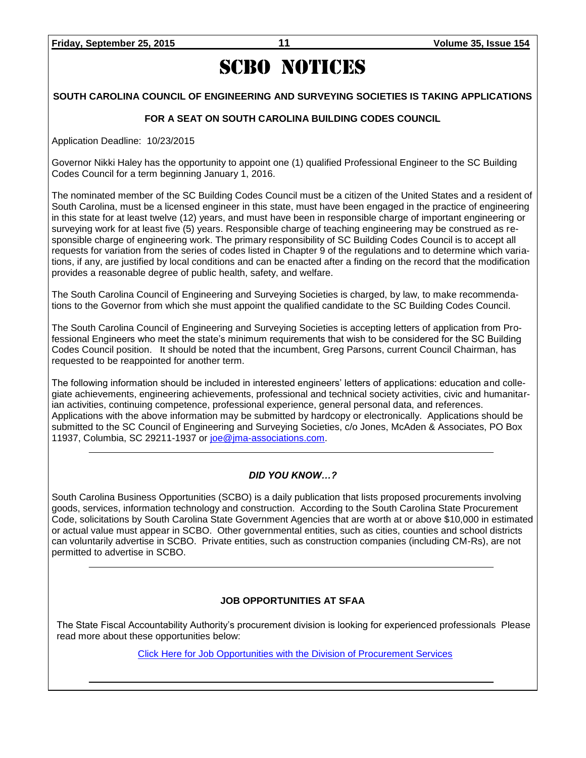# SCBO NOTICES

### **SOUTH CAROLINA COUNCIL OF ENGINEERING AND SURVEYING SOCIETIES IS TAKING APPLICATIONS**

### **FOR A SEAT ON SOUTH CAROLINA BUILDING CODES COUNCIL**

Application Deadline: 10/23/2015

Governor Nikki Haley has the opportunity to appoint one (1) qualified Professional Engineer to the SC Building Codes Council for a term beginning January 1, 2016.

The nominated member of the SC Building Codes Council must be a citizen of the United States and a resident of South Carolina, must be a licensed engineer in this state, must have been engaged in the practice of engineering in this state for at least twelve (12) years, and must have been in responsible charge of important engineering or surveying work for at least five (5) years. Responsible charge of teaching engineering may be construed as responsible charge of engineering work. The primary responsibility of SC Building Codes Council is to accept all requests for variation from the series of codes listed in Chapter 9 of the regulations and to determine which variations, if any, are justified by local conditions and can be enacted after a finding on the record that the modification provides a reasonable degree of public health, safety, and welfare.

The South Carolina Council of Engineering and Surveying Societies is charged, by law, to make recommendations to the Governor from which she must appoint the qualified candidate to the SC Building Codes Council.

The South Carolina Council of Engineering and Surveying Societies is accepting letters of application from Professional Engineers who meet the state's minimum requirements that wish to be considered for the SC Building Codes Council position. It should be noted that the incumbent, Greg Parsons, current Council Chairman, has requested to be reappointed for another term.

The following information should be included in interested engineers' letters of applications: education and collegiate achievements, engineering achievements, professional and technical society activities, civic and humanitarian activities, continuing competence, professional experience, general personal data, and references. Applications with the above information may be submitted by hardcopy or electronically. Applications should be submitted to the SC Council of Engineering and Surveying Societies, c/o Jones, McAden & Associates, PO Box 11937, Columbia, SC 29211-1937 or [joe@jma-associations.com.](mailto:joe@jma-associations.com)

### *DID YOU KNOW…?*

South Carolina Business Opportunities (SCBO) is a daily publication that lists proposed procurements involving goods, services, information technology and construction. According to the South Carolina State Procurement Code, solicitations by South Carolina State Government Agencies that are worth at or above \$10,000 in estimated or actual value must appear in SCBO. Other governmental entities, such as cities, counties and school districts can voluntarily advertise in SCBO. Private entities, such as construction companies (including CM-Rs), are not permitted to advertise in SCBO.

### **JOB OPPORTUNITIES AT SFAA**

The State Fiscal Accountability Authority's procurement division is looking for experienced professionals Please read more about these opportunities below:

[Click Here for Job Opportunities with the Division of Procurement Services](http://procurement.sc.gov/webfiles/MMO_scbo/SCBO%20Online/SFAA_job_opportunities.pdf)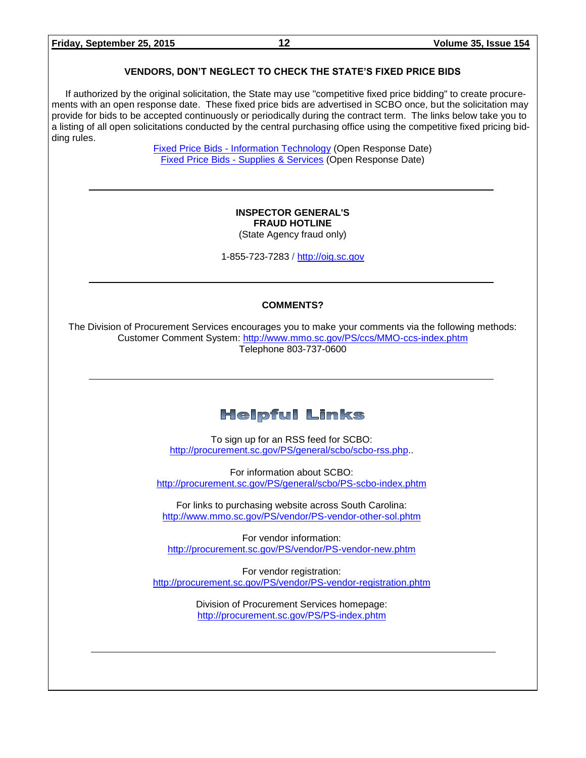### **VENDORS, DON'T NEGLECT TO CHECK THE STATE'S FIXED PRICE BIDS**

If authorized by the original solicitation, the State may use "competitive fixed price bidding" to create procurements with an open response date. These fixed price bids are advertised in SCBO once, but the solicitation may provide for bids to be accepted continuously or periodically during the contract term. The links below take you to a listing of all open solicitations conducted by the central purchasing office using the competitive fixed pricing bidding rules.

> Fixed Price Bids - [Information Technology](http://www.mmo.sc.gov/PS/vendor/PS-vendor-fixed-price-bids-it.phtm) (Open Response Date) Fixed Price Bids - [Supplies & Services](http://www.mmo.sc.gov/PS/vendor/PS-vendor-fixed-price-bids-ss.phtm) (Open Response Date)

### **INSPECTOR GENERAL'S FRAUD HOTLINE**

(State Agency fraud only)

1-855-723-7283 / [http://oig.sc.gov](http://oig.sc.gov/)

### **COMMENTS?**

The Division of Procurement Services encourages you to make your comments via the following methods: Customer Comment System:<http://www.mmo.sc.gov/PS/ccs/MMO-ccs-index.phtm> Telephone 803-737-0600

### **Helpful Links**

To sign up for an RSS feed for SCBO: [http://procurement.sc.gov/PS/general/scbo/scbo-rss.php.](http://procurement.sc.gov/PS/general/scbo/scbo-rss.php).

For information about SCBO: <http://procurement.sc.gov/PS/general/scbo/PS-scbo-index.phtm>

For links to purchasing website across South Carolina: <http://www.mmo.sc.gov/PS/vendor/PS-vendor-other-sol.phtm>

For vendor information: <http://procurement.sc.gov/PS/vendor/PS-vendor-new.phtm>

For vendor registration: <http://procurement.sc.gov/PS/vendor/PS-vendor-registration.phtm>

> Division of Procurement Services homepage: <http://procurement.sc.gov/PS/PS-index.phtm>